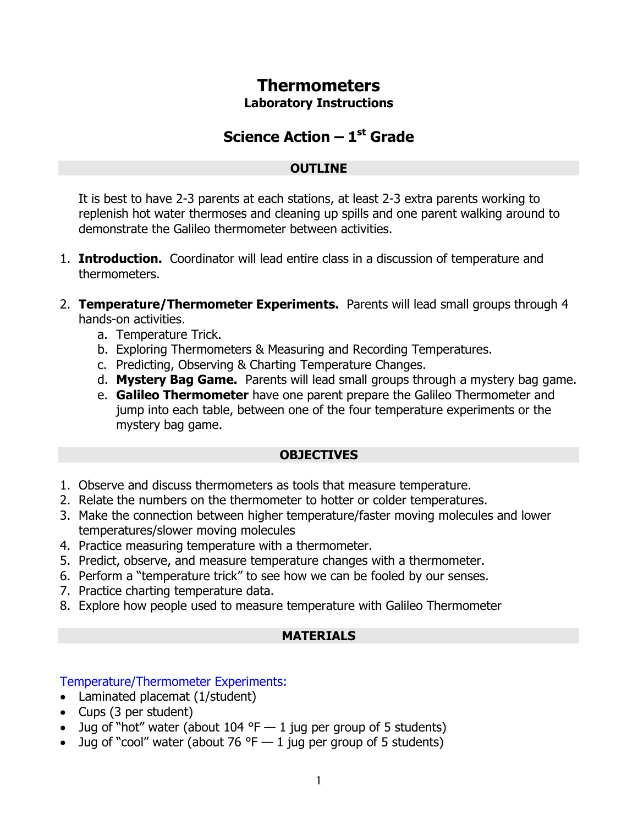# **Thermometers**

#### **Laboratory Instructions**

## **Science Action – 1 st Grade**

#### **OUTLINE**

It is best to have 2-3 parents at each stations, at least 2-3 extra parents working to replenish hot water thermoses and cleaning up spills and one parent walking around to demonstrate the Galileo thermometer between activities.

- 1. **Introduction.** Coordinator will lead entire class in a discussion of temperature and thermometers.
- 2. **Temperature/Thermometer Experiments.** Parents will lead small groups through 4 hands-on activities.
	- a. Temperature Trick.
	- b. Exploring Thermometers & Measuring and Recording Temperatures.
	- c. Predicting, Observing & Charting Temperature Changes.
	- d. **Mystery Bag Game.** Parents will lead small groups through a mystery bag game.
	- e. **Galileo Thermometer** have one parent prepare the Galileo Thermometer and jump into each table, between one of the four temperature experiments or the mystery bag game.

## **OBJECTIVES**

- 1. Observe and discuss thermometers as tools that measure temperature.
- 2. Relate the numbers on the thermometer to hotter or colder temperatures.
- 3. Make the connection between higher temperature/faster moving molecules and lower temperatures/slower moving molecules
- 4. Practice measuring temperature with a thermometer.
- 5. Predict, observe, and measure temperature changes with a thermometer.
- 6. Perform a "temperature trick" to see how we can be fooled by our senses.
- 7. Practice charting temperature data.
- 8. Explore how people used to measure temperature with Galileo Thermometer

## **MATERIALS**

## Temperature/Thermometer Experiments:

- Laminated placemat (1/student)
- Cups (3 per student)
- Jug of "hot" water (about  $104$  °F  $-$  1 jug per group of 5 students)
- Jug of "cool" water (about 76 °F  $-$  1 jug per group of 5 students)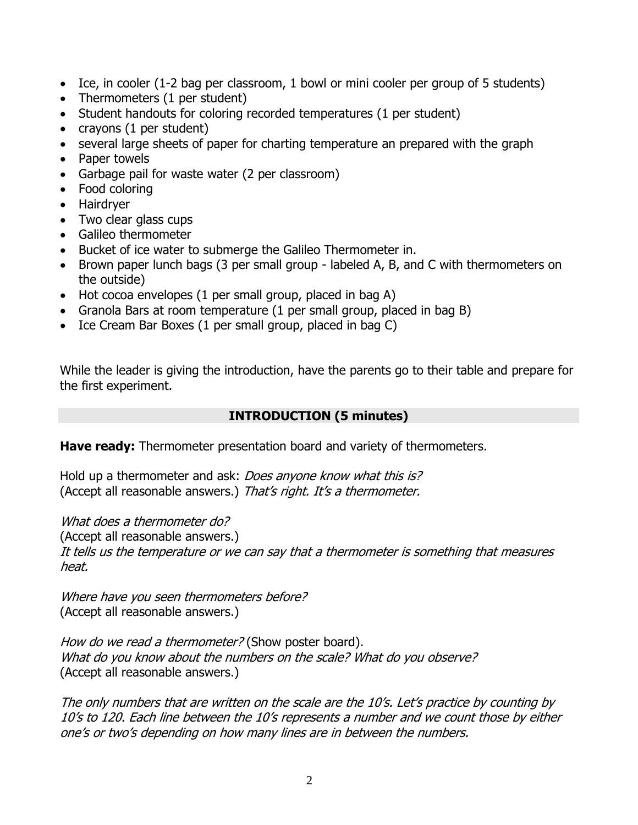- Ice, in cooler (1-2 bag per classroom, 1 bowl or mini cooler per group of 5 students)
- Thermometers (1 per student)
- Student handouts for coloring recorded temperatures (1 per student)
- $\bullet$  crayons (1 per student)
- several large sheets of paper for charting temperature an prepared with the graph
- Paper towels
- Garbage pail for waste water (2 per classroom)
- Food coloring
- Hairdryer
- Two clear glass cups
- Galileo thermometer
- Bucket of ice water to submerge the Galileo Thermometer in.
- Brown paper lunch bags (3 per small group labeled A, B, and C with thermometers on the outside)
- Hot cocoa envelopes (1 per small group, placed in bag A)
- Granola Bars at room temperature (1 per small group, placed in bag B)
- Ice Cream Bar Boxes (1 per small group, placed in bag C)

While the leader is giving the introduction, have the parents go to their table and prepare for the first experiment.

#### **INTRODUCTION (5 minutes)**

**Have ready:** Thermometer presentation board and variety of thermometers.

Hold up a thermometer and ask: *Does anyone know what this is?* (Accept all reasonable answers.) That's right. It's a thermometer.

What does a thermometer do?

(Accept all reasonable answers.)

It tells us the temperature or we can say that a thermometer is something that measures heat.

Where have you seen thermometers before? (Accept all reasonable answers.)

How do we read a thermometer? (Show poster board). What do you know about the numbers on the scale? What do you observe? (Accept all reasonable answers.)

The only numbers that are written on the scale are the 10's. Let's practice by counting by 10's to 120. Each line between the 10's represents a number and we count those by either one's or two's depending on how many lines are in between the numbers.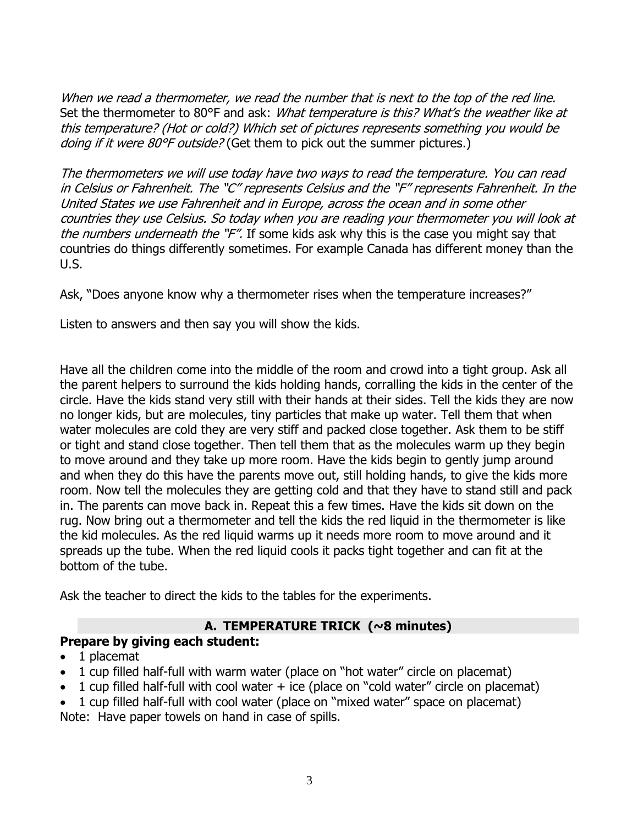When we read a thermometer, we read the number that is next to the top of the red line. Set the thermometer to 80°F and ask: What temperature is this? What's the weather like at this temperature? (Hot or cold?) Which set of pictures represents something you would be doing if it were 80°F outside? (Get them to pick out the summer pictures.)

The thermometers we will use today have two ways to read the temperature. You can read in Celsius or Fahrenheit. The "C" represents Celsius and the "F" represents Fahrenheit. In the United States we use Fahrenheit and in Europe, across the ocean and in some other countries they use Celsius. So today when you are reading your thermometer you will look at the numbers underneath the "F". If some kids ask why this is the case you might say that countries do things differently sometimes. For example Canada has different money than the U.S.

Ask, "Does anyone know why a thermometer rises when the temperature increases?"

Listen to answers and then say you will show the kids.

Have all the children come into the middle of the room and crowd into a tight group. Ask all the parent helpers to surround the kids holding hands, corralling the kids in the center of the circle. Have the kids stand very still with their hands at their sides. Tell the kids they are now no longer kids, but are molecules, tiny particles that make up water. Tell them that when water molecules are cold they are very stiff and packed close together. Ask them to be stiff or tight and stand close together. Then tell them that as the molecules warm up they begin to move around and they take up more room. Have the kids begin to gently jump around and when they do this have the parents move out, still holding hands, to give the kids more room. Now tell the molecules they are getting cold and that they have to stand still and pack in. The parents can move back in. Repeat this a few times. Have the kids sit down on the rug. Now bring out a thermometer and tell the kids the red liquid in the thermometer is like the kid molecules. As the red liquid warms up it needs more room to move around and it spreads up the tube. When the red liquid cools it packs tight together and can fit at the bottom of the tube.

Ask the teacher to direct the kids to the tables for the experiments.

## **A. TEMPERATURE TRICK (~8 minutes)**

## **Prepare by giving each student:**

- 1 placemat
- 1 cup filled half-full with warm water (place on "hot water" circle on placemat)
- 1 cup filled half-full with cool water  $+$  ice (place on "cold water" circle on placemat)
- 1 cup filled half-full with cool water (place on "mixed water" space on placemat) Note: Have paper towels on hand in case of spills.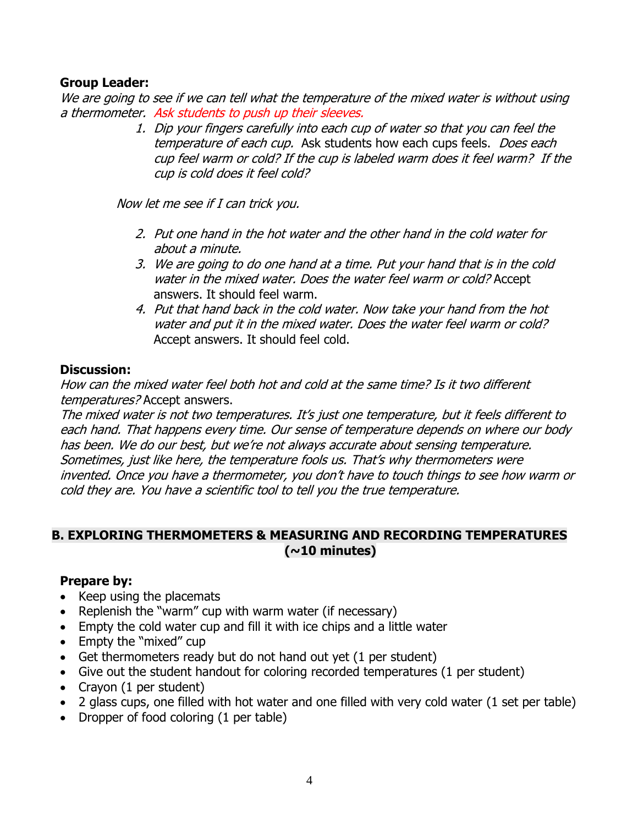#### **Group Leader:**

We are going to see if we can tell what the temperature of the mixed water is without using a thermometer. Ask students to push up their sleeves.

> 1. Dip your fingers carefully into each cup of water so that you can feel the temperature of each cup. Ask students how each cups feels. Does each cup feel warm or cold? If the cup is labeled warm does it feel warm? If the cup is cold does it feel cold?

Now let me see if I can trick you.

- 2. Put one hand in the hot water and the other hand in the cold water for about a minute.
- 3. We are going to do one hand at a time. Put your hand that is in the cold water in the mixed water. Does the water feel warm or cold? Accept answers. It should feel warm.
- 4. Put that hand back in the cold water. Now take your hand from the hot water and put it in the mixed water. Does the water feel warm or cold? Accept answers. It should feel cold.

#### **Discussion:**

How can the mixed water feel both hot and cold at the same time? Is it two different temperatures? Accept answers.

The mixed water is not two temperatures. It's just one temperature, but it feels different to each hand. That happens every time. Our sense of temperature depends on where our body has been. We do our best, but we're not always accurate about sensing temperature. Sometimes, just like here, the temperature fools us. That's why thermometers were invented. Once you have a thermometer, you don't have to touch things to see how warm or cold they are. You have a scientific tool to tell you the true temperature.

#### **B. EXPLORING THERMOMETERS & MEASURING AND RECORDING TEMPERATURES (~10 minutes)**

## **Prepare by:**

- Keep using the placemats
- Replenish the "warm" cup with warm water (if necessary)
- Empty the cold water cup and fill it with ice chips and a little water
- Empty the "mixed" cup
- Get thermometers ready but do not hand out yet (1 per student)
- Give out the student handout for coloring recorded temperatures (1 per student)
- Crayon (1 per student)
- 2 glass cups, one filled with hot water and one filled with very cold water (1 set per table)
- Dropper of food coloring (1 per table)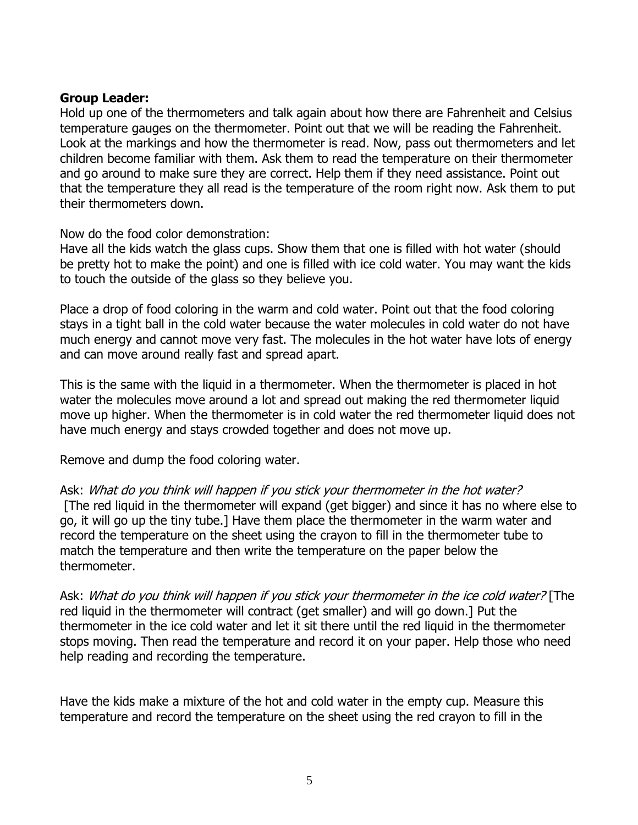#### **Group Leader:**

Hold up one of the thermometers and talk again about how there are Fahrenheit and Celsius temperature gauges on the thermometer. Point out that we will be reading the Fahrenheit. Look at the markings and how the thermometer is read. Now, pass out thermometers and let children become familiar with them. Ask them to read the temperature on their thermometer and go around to make sure they are correct. Help them if they need assistance. Point out that the temperature they all read is the temperature of the room right now. Ask them to put their thermometers down.

Now do the food color demonstration:

Have all the kids watch the glass cups. Show them that one is filled with hot water (should be pretty hot to make the point) and one is filled with ice cold water. You may want the kids to touch the outside of the glass so they believe you.

Place a drop of food coloring in the warm and cold water. Point out that the food coloring stays in a tight ball in the cold water because the water molecules in cold water do not have much energy and cannot move very fast. The molecules in the hot water have lots of energy and can move around really fast and spread apart.

This is the same with the liquid in a thermometer. When the thermometer is placed in hot water the molecules move around a lot and spread out making the red thermometer liquid move up higher. When the thermometer is in cold water the red thermometer liquid does not have much energy and stays crowded together and does not move up.

Remove and dump the food coloring water.

Ask: What do you think will happen if you stick your thermometer in the hot water? [The red liquid in the thermometer will expand (get bigger) and since it has no where else to go, it will go up the tiny tube.] Have them place the thermometer in the warm water and record the temperature on the sheet using the crayon to fill in the thermometer tube to match the temperature and then write the temperature on the paper below the thermometer.

Ask: What do you think will happen if you stick your thermometer in the ice cold water? [The red liquid in the thermometer will contract (get smaller) and will go down.] Put the thermometer in the ice cold water and let it sit there until the red liquid in the thermometer stops moving. Then read the temperature and record it on your paper. Help those who need help reading and recording the temperature.

Have the kids make a mixture of the hot and cold water in the empty cup. Measure this temperature and record the temperature on the sheet using the red crayon to fill in the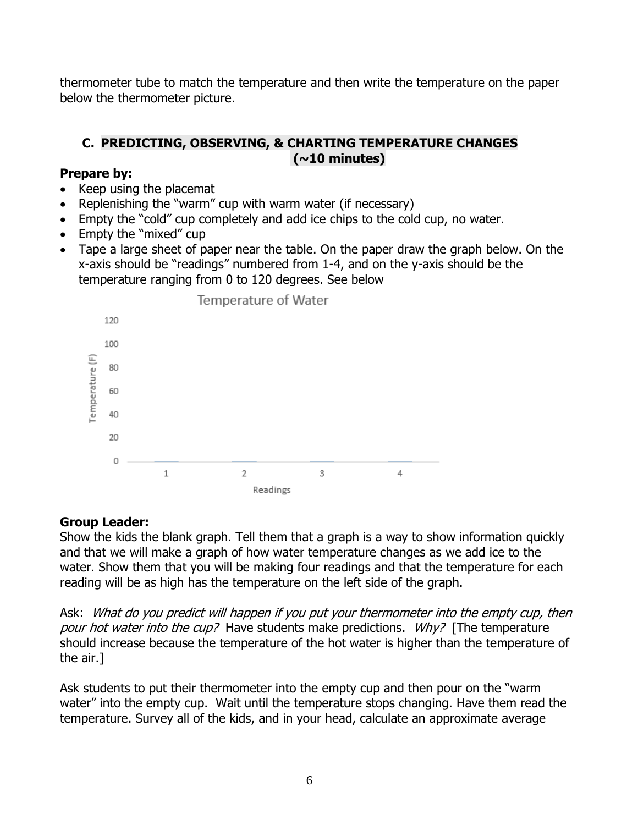thermometer tube to match the temperature and then write the temperature on the paper below the thermometer picture.

## **C. PREDICTING, OBSERVING, & CHARTING TEMPERATURE CHANGES (~10 minutes)**

#### **Prepare by:**

- Keep using the placemat
- Replenishing the "warm" cup with warm water (if necessary)
- Empty the "cold" cup completely and add ice chips to the cold cup, no water.
- Empty the "mixed" cup
- Tape a large sheet of paper near the table. On the paper draw the graph below. On the x-axis should be "readings" numbered from 1-4, and on the y-axis should be the temperature ranging from 0 to 120 degrees. See below



## **Group Leader:**

Show the kids the blank graph. Tell them that a graph is a way to show information quickly and that we will make a graph of how water temperature changes as we add ice to the water. Show them that you will be making four readings and that the temperature for each reading will be as high has the temperature on the left side of the graph.

Ask: What do you predict will happen if you put your thermometer into the empty cup, then pour hot water into the cup? Have students make predictions. Why? [The temperature should increase because the temperature of the hot water is higher than the temperature of the air.]

Ask students to put their thermometer into the empty cup and then pour on the "warm water" into the empty cup. Wait until the temperature stops changing. Have them read the temperature. Survey all of the kids, and in your head, calculate an approximate average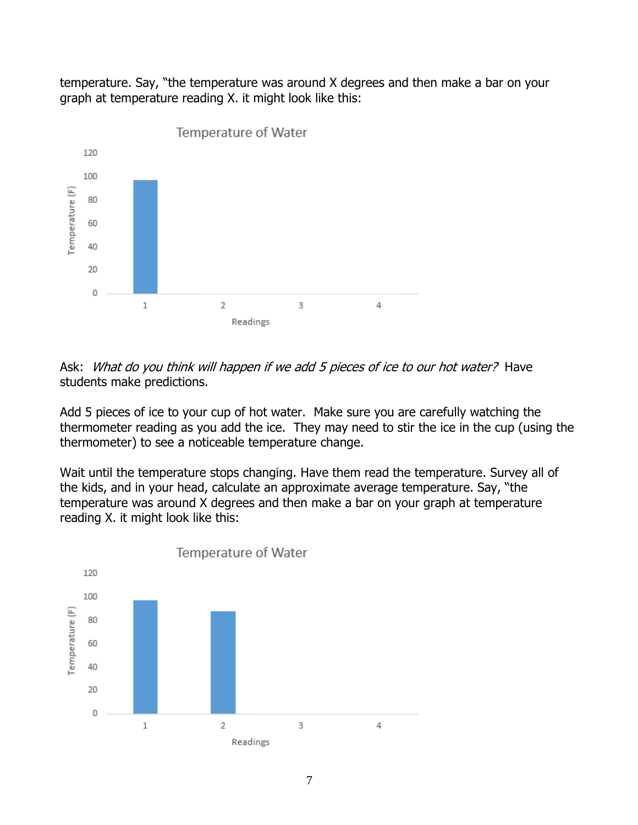temperature. Say, "the temperature was around X degrees and then make a bar on your graph at temperature reading X. it might look like this:



Ask: What do you think will happen if we add 5 pieces of ice to our hot water? Have students make predictions.

Add 5 pieces of ice to your cup of hot water. Make sure you are carefully watching the thermometer reading as you add the ice. They may need to stir the ice in the cup (using the thermometer) to see a noticeable temperature change.

Wait until the temperature stops changing. Have them read the temperature. Survey all of the kids, and in your head, calculate an approximate average temperature. Say, "the temperature was around X degrees and then make a bar on your graph at temperature reading X. it might look like this:

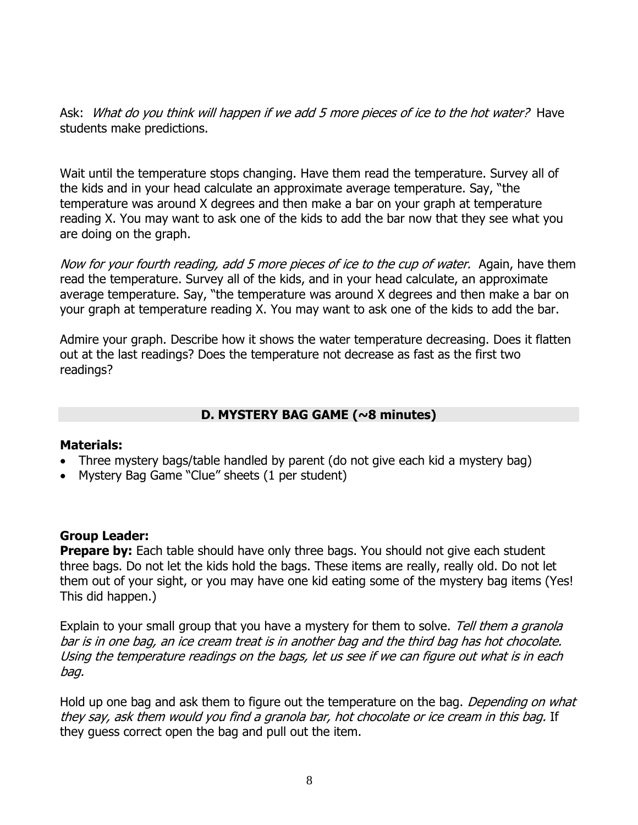Ask: What do you think will happen if we add 5 more pieces of ice to the hot water? Have students make predictions.

Wait until the temperature stops changing. Have them read the temperature. Survey all of the kids and in your head calculate an approximate average temperature. Say, "the temperature was around X degrees and then make a bar on your graph at temperature reading X. You may want to ask one of the kids to add the bar now that they see what you are doing on the graph.

Now for your fourth reading, add 5 more pieces of ice to the cup of water. Again, have them read the temperature. Survey all of the kids, and in your head calculate, an approximate average temperature. Say, "the temperature was around X degrees and then make a bar on your graph at temperature reading X. You may want to ask one of the kids to add the bar.

Admire your graph. Describe how it shows the water temperature decreasing. Does it flatten out at the last readings? Does the temperature not decrease as fast as the first two readings?

#### **D. MYSTERY BAG GAME (~8 minutes)**

#### **Materials:**

- Three mystery bags/table handled by parent (do not give each kid a mystery bag)
- Mystery Bag Game "Clue" sheets (1 per student)

#### **Group Leader:**

**Prepare by:** Each table should have only three bags. You should not give each student three bags. Do not let the kids hold the bags. These items are really, really old. Do not let them out of your sight, or you may have one kid eating some of the mystery bag items (Yes! This did happen.)

Explain to your small group that you have a mystery for them to solve. Tell them a granola bar is in one bag, an ice cream treat is in another bag and the third bag has hot chocolate. Using the temperature readings on the bags, let us see if we can figure out what is in each bag.

Hold up one bag and ask them to figure out the temperature on the bag. Depending on what they say, ask them would you find a granola bar, hot chocolate or ice cream in this bag. If they guess correct open the bag and pull out the item.